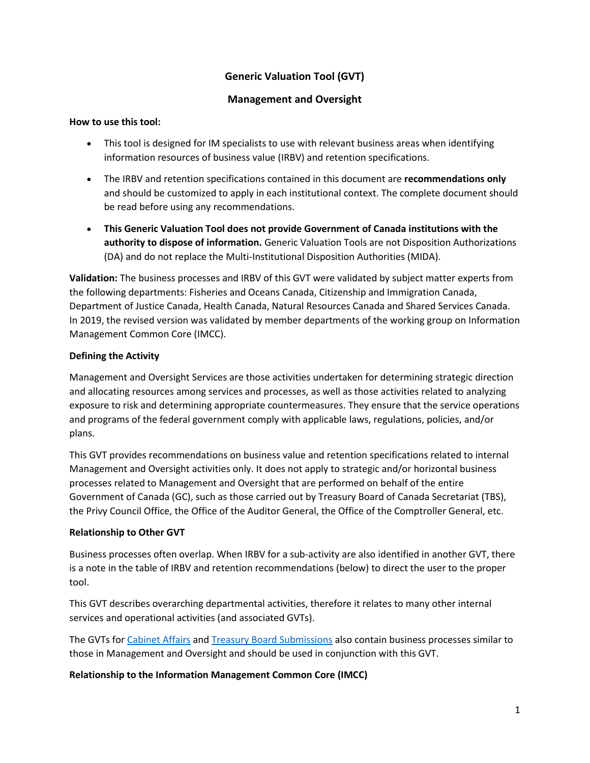# **Generic Valuation Tool (GVT)**

# **Management and Oversight**

#### **How to use this tool:**

- This tool is designed for IM specialists to use with relevant business areas when identifying information resources of business value (IRBV) and retention specifications.
- The IRBV and retention specifications contained in this document are **recommendations only** and should be customized to apply in each institutional context. The complete document should be read before using any recommendations.
- **This Generic Valuation Tool does not provide Government of Canada institutions with the authority to dispose of information.** Generic Valuation Tools are not Disposition Authorizations (DA) and do not replace the Multi-Institutional Disposition Authorities (MIDA).

**Validation:** The business processes and IRBV of this GVT were validated by subject matter experts from the following departments: Fisheries and Oceans Canada, Citizenship and Immigration Canada, Department of Justice Canada, Health Canada, Natural Resources Canada and Shared Services Canada. In 2019, the revised version was validated by member departments of the working group on Information Management Common Core (IMCC).

# **Defining the Activity**

Management and Oversight Services are those activities undertaken for determining strategic direction and allocating resources among services and processes, as well as those activities related to analyzing exposure to risk and determining appropriate countermeasures. They ensure that the service operations and programs of the federal government comply with applicable laws, regulations, policies, and/or plans.

This GVT provides recommendations on business value and retention specifications related to internal Management and Oversight activities only. It does not apply to strategic and/or horizontal business processes related to Management and Oversight that are performed on behalf of the entire Government of Canada (GC), such as those carried out by Treasury Board of Canada Secretariat (TBS), the Privy Council Office, the Office of the Auditor General, the Office of the Comptroller General, etc.

# **Relationship to Other GVT**

Business processes often overlap. When IRBV for a sub-activity are also identified in another GVT, there is a note in the table of IRBV and retention recommendations (below) to direct the user to the proper tool.

This GVT describes overarching departmental activities, therefore it relates to many other internal services and operational activities (and associated GVTs).

The GVTs for [Cabinet Affairs](http://www.bac-lac.gc.ca/eng/services/government-information-resources/guidelines/generic-valuation-tools/Pages/cabinet-affairs.aspx) an[d Treasury Board Submissions](http://www.bac-lac.gc.ca/eng/services/government-information-resources/guidelines/generic-valuation-tools/Pages/treasury-board-submissions.aspx) also contain business processes similar to those in Management and Oversight and should be used in conjunction with this GVT.

# **Relationship to the Information Management Common Core (IMCC)**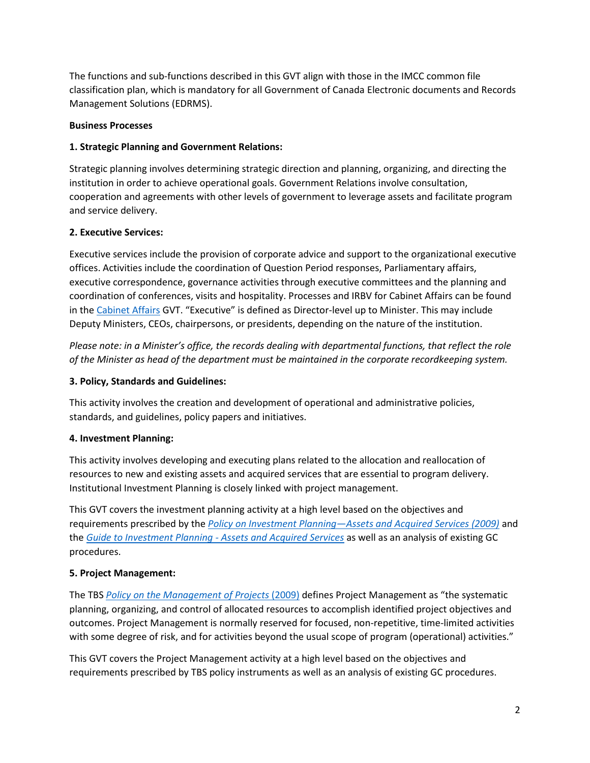The functions and sub-functions described in this GVT align with those in the IMCC common file classification plan, which is mandatory for all Government of Canada Electronic documents and Records Management Solutions (EDRMS).

#### **Business Processes**

## **1. Strategic Planning and Government Relations:**

Strategic planning involves determining strategic direction and planning, organizing, and directing the institution in order to achieve operational goals. Government Relations involve consultation, cooperation and agreements with other levels of government to leverage assets and facilitate program and service delivery.

#### **2. Executive Services:**

Executive services include the provision of corporate advice and support to the organizational executive offices. Activities include the coordination of Question Period responses, Parliamentary affairs, executive correspondence, governance activities through executive committees and the planning and coordination of conferences, visits and hospitality. Processes and IRBV for Cabinet Affairs can be found in the [Cabinet Affairs](http://www.bac-lac.gc.ca/eng/services/government-information-resources/guidelines/generic-valuation-tools/Pages/cabinet-affairs.aspx) GVT. "Executive" is defined as Director-level up to Minister. This may include Deputy Ministers, CEOs, chairpersons, or presidents, depending on the nature of the institution.

*Please note: in a Minister's office, the records dealing with departmental functions, that reflect the role of the Minister as head of the department must be maintained in the corporate recordkeeping system.*

#### **3. Policy, Standards and Guidelines:**

This activity involves the creation and development of operational and administrative policies, standards, and guidelines, policy papers and initiatives.

#### **4. Investment Planning:**

This activity involves developing and executing plans related to the allocation and reallocation of resources to new and existing assets and acquired services that are essential to program delivery. Institutional Investment Planning is closely linked with project management.

This GVT covers the investment planning activity at a high level based on the objectives and requirements prescribed by the *Policy on Investment Planning—[Assets and Acquired Services \(2009\)](https://www.tbs-sct.gc.ca/pol/doc-eng.aspx?id=18225)* and the *[Guide to Investment Planning -](https://www.tbs-sct.gc.ca/pol/doc-eng.aspx?id=17660) Assets and Acquired Services* as well as an analysis of existing GC procedures.

# **5. Project Management:**

The TBS *[Policy on the Management of Projects](http://www.tbs-sct.gc.ca/pol/doc-eng.aspx?id=18229)* (2009) defines Project Management as "the systematic planning, organizing, and control of allocated resources to accomplish identified project objectives and outcomes. Project Management is normally reserved for focused, non-repetitive, time-limited activities with some degree of risk, and for activities beyond the usual scope of program (operational) activities."

This GVT covers the Project Management activity at a high level based on the objectives and requirements prescribed by TBS policy instruments as well as an analysis of existing GC procedures.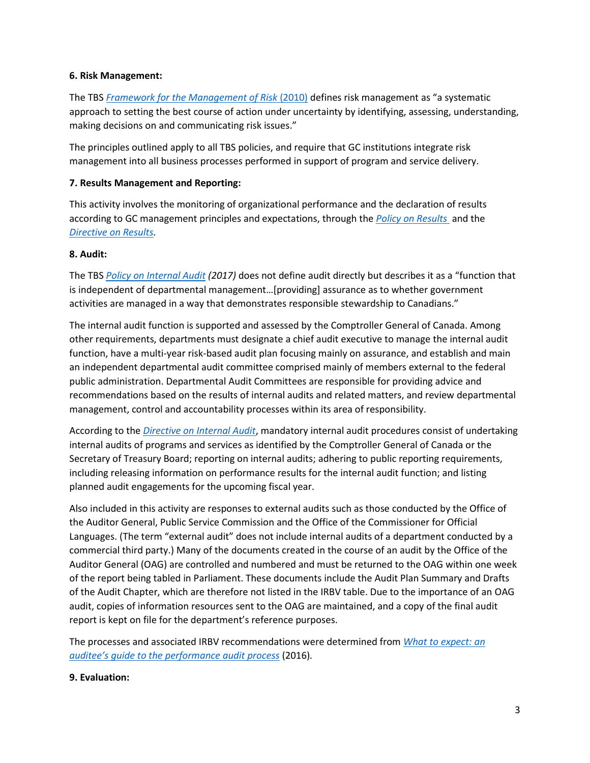#### **6. Risk Management:**

The TBS *[Framework for the Management of Risk](http://www.tbs-sct.gc.ca/pol/doc-eng.aspx?id=19422)* (2010) defines risk management as "a systematic approach to setting the best course of action under uncertainty by identifying, assessing, understanding, making decisions on and communicating risk issues."

The principles outlined apply to all TBS policies, and require that GC institutions integrate risk management into all business processes performed in support of program and service delivery.

## **7. Results Management and Reporting:**

This activity involves the monitoring of organizational performance and the declaration of results according to GC management principles and expectations, through the *[Policy on Results](https://www.tbs-sct.gc.ca/pol/doc-eng.aspx?id=31300)* and the *[Directive on Results.](https://www.tbs-sct.gc.ca/pol/doc-eng.aspx?id=31306)*

#### **8. Audit:**

The TBS *[Policy on Internal Audit](https://www.tbs-sct.gc.ca/pol/doc-eng.aspx?id=16484) (2017)* does not define audit directly but describes it as a "function that is independent of departmental management…[providing] assurance as to whether government activities are managed in a way that demonstrates responsible stewardship to Canadians."

The internal audit function is supported and assessed by the Comptroller General of Canada. Among other requirements, departments must designate a chief audit executive to manage the internal audit function, have a multi-year risk-based audit plan focusing mainly on assurance, and establish and main an independent departmental audit committee comprised mainly of members external to the federal public administration. Departmental Audit Committees are responsible for providing advice and recommendations based on the results of internal audits and related matters, and review departmental management, control and accountability processes within its area of responsibility.

According to the *[Directive on Internal Audit](https://www.tbs-sct.gc.ca/pol/doc-eng.aspx?id=32533)*, mandatory internal audit procedures consist of undertaking internal audits of programs and services as identified by the Comptroller General of Canada or the Secretary of Treasury Board; reporting on internal audits; adhering to public reporting requirements, including releasing information on performance results for the internal audit function; and listing planned audit engagements for the upcoming fiscal year.

Also included in this activity are responses to external audits such as those conducted by the Office of the Auditor General, Public Service Commission and the Office of the Commissioner for Official Languages. (The term "external audit" does not include internal audits of a department conducted by a commercial third party.) Many of the documents created in the course of an audit by the Office of the Auditor General (OAG) are controlled and numbered and must be returned to the OAG within one week of the report being tabled in Parliament. These documents include the Audit Plan Summary and Drafts of the Audit Chapter, which are therefore not listed in the IRBV table. Due to the importance of an OAG audit, copies of information resources sent to the OAG are maintained, and a copy of the final audit report is kept on file for the department's reference purposes.

The processes and associated IRBV recommendations were determined from *[What to expect: an](http://publications.gc.ca/site/eng/9.835018/publication.html)  [auditee's guide to the performance audit process](http://publications.gc.ca/site/eng/9.835018/publication.html)* (2016)*.*

#### **9. Evaluation:**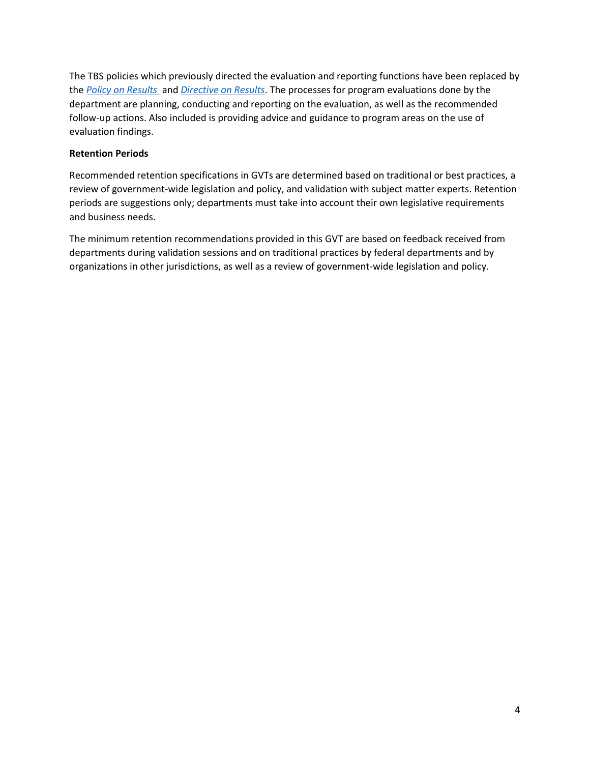The TBS policies which previously directed the evaluation and reporting functions have been replaced by the *[Policy on Results](https://www.tbs-sct.gc.ca/pol/doc-eng.aspx?id=31300)* and *[Directive on Results](https://www.tbs-sct.gc.ca/pol/doc-eng.aspx?id=31306)*. The processes for program evaluations done by the department are planning, conducting and reporting on the evaluation, as well as the recommended follow-up actions. Also included is providing advice and guidance to program areas on the use of evaluation findings.

#### **Retention Periods**

Recommended retention specifications in GVTs are determined based on traditional or best practices, a review of government-wide legislation and policy, and validation with subject matter experts. Retention periods are suggestions only; departments must take into account their own legislative requirements and business needs.

The minimum retention recommendations provided in this GVT are based on feedback received from departments during validation sessions and on traditional practices by federal departments and by organizations in other jurisdictions, as well as a review of government-wide legislation and policy.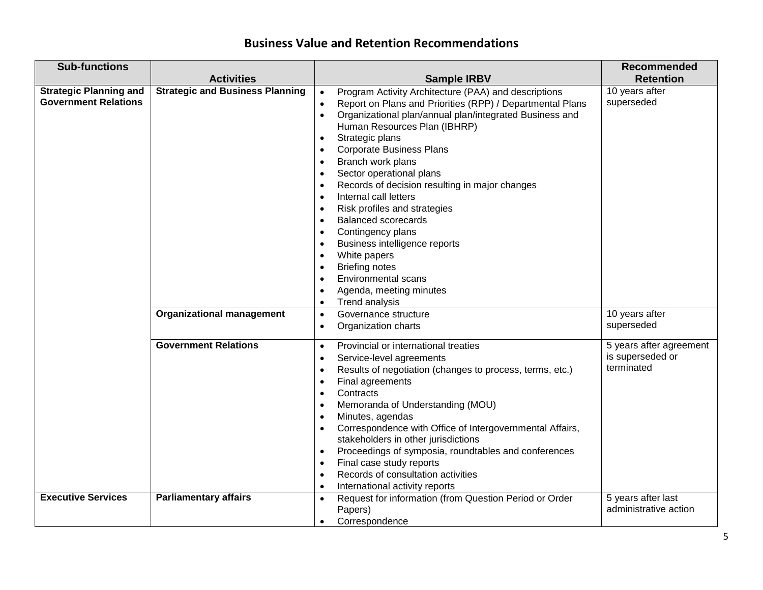# **Business Value and Retention Recommendations**

| <b>Sub-functions</b>                                         |                                        |                                                                                                                                                                                                                                                                                                                                                                                                                                                                                                                                                                                                                                                                                                                                                                                                                                                                           | <b>Recommended</b>                                        |
|--------------------------------------------------------------|----------------------------------------|---------------------------------------------------------------------------------------------------------------------------------------------------------------------------------------------------------------------------------------------------------------------------------------------------------------------------------------------------------------------------------------------------------------------------------------------------------------------------------------------------------------------------------------------------------------------------------------------------------------------------------------------------------------------------------------------------------------------------------------------------------------------------------------------------------------------------------------------------------------------------|-----------------------------------------------------------|
|                                                              | <b>Activities</b>                      | <b>Sample IRBV</b>                                                                                                                                                                                                                                                                                                                                                                                                                                                                                                                                                                                                                                                                                                                                                                                                                                                        | <b>Retention</b>                                          |
| <b>Strategic Planning and</b><br><b>Government Relations</b> | <b>Strategic and Business Planning</b> | Program Activity Architecture (PAA) and descriptions<br>$\bullet$<br>Report on Plans and Priorities (RPP) / Departmental Plans<br>$\bullet$<br>Organizational plan/annual plan/integrated Business and<br>$\bullet$<br>Human Resources Plan (IBHRP)<br>Strategic plans<br>$\bullet$<br><b>Corporate Business Plans</b><br>$\bullet$<br>Branch work plans<br>$\bullet$<br>Sector operational plans<br>$\bullet$<br>Records of decision resulting in major changes<br>$\bullet$<br>Internal call letters<br>$\bullet$<br>Risk profiles and strategies<br>$\bullet$<br><b>Balanced scorecards</b><br>$\bullet$<br>Contingency plans<br>$\bullet$<br>Business intelligence reports<br>$\bullet$<br>White papers<br>$\bullet$<br><b>Briefing notes</b><br>$\bullet$<br>Environmental scans<br>$\bullet$<br>Agenda, meeting minutes<br>$\bullet$<br>Trend analysis<br>$\bullet$ | 10 years after<br>superseded                              |
|                                                              | <b>Organizational management</b>       | Governance structure<br>$\bullet$<br>Organization charts<br>$\bullet$                                                                                                                                                                                                                                                                                                                                                                                                                                                                                                                                                                                                                                                                                                                                                                                                     | 10 years after<br>superseded                              |
|                                                              | <b>Government Relations</b>            | Provincial or international treaties<br>$\bullet$<br>Service-level agreements<br>$\bullet$<br>Results of negotiation (changes to process, terms, etc.)<br>$\bullet$<br>Final agreements<br>$\bullet$<br>Contracts<br>$\bullet$<br>Memoranda of Understanding (MOU)<br>$\bullet$<br>Minutes, agendas<br>$\bullet$<br>Correspondence with Office of Intergovernmental Affairs,<br>$\bullet$<br>stakeholders in other jurisdictions<br>Proceedings of symposia, roundtables and conferences<br>$\bullet$<br>Final case study reports<br>$\bullet$<br>Records of consultation activities<br>$\bullet$<br>International activity reports<br>$\bullet$                                                                                                                                                                                                                          | 5 years after agreement<br>is superseded or<br>terminated |
| <b>Executive Services</b>                                    | <b>Parliamentary affairs</b>           | Request for information (from Question Period or Order<br>$\bullet$<br>Papers)<br>Correspondence<br>$\bullet$                                                                                                                                                                                                                                                                                                                                                                                                                                                                                                                                                                                                                                                                                                                                                             | 5 years after last<br>administrative action               |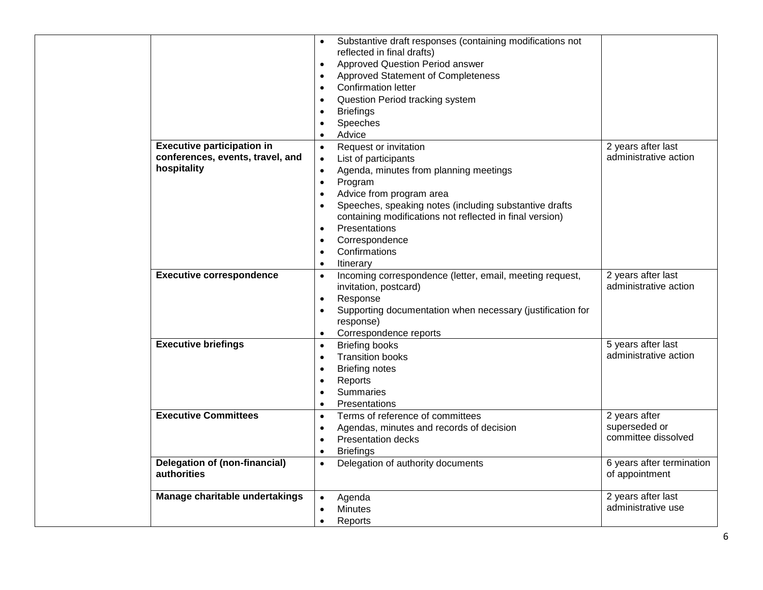|                                                     |           | Substantive draft responses (containing modifications not<br>reflected in final drafts) |                                             |
|-----------------------------------------------------|-----------|-----------------------------------------------------------------------------------------|---------------------------------------------|
|                                                     | $\bullet$ | <b>Approved Question Period answer</b>                                                  |                                             |
|                                                     | $\bullet$ | Approved Statement of Completeness                                                      |                                             |
|                                                     | $\bullet$ | <b>Confirmation letter</b>                                                              |                                             |
|                                                     | $\bullet$ | Question Period tracking system                                                         |                                             |
|                                                     | $\bullet$ | <b>Briefings</b>                                                                        |                                             |
|                                                     | $\bullet$ | Speeches                                                                                |                                             |
|                                                     | $\bullet$ | Advice                                                                                  |                                             |
| <b>Executive participation in</b>                   | $\bullet$ | Request or invitation                                                                   | 2 years after last                          |
| conferences, events, travel, and                    | $\bullet$ | List of participants                                                                    | administrative action                       |
| hospitality                                         | $\bullet$ | Agenda, minutes from planning meetings                                                  |                                             |
|                                                     | $\bullet$ | Program                                                                                 |                                             |
|                                                     | $\bullet$ | Advice from program area                                                                |                                             |
|                                                     | $\bullet$ | Speeches, speaking notes (including substantive drafts                                  |                                             |
|                                                     |           | containing modifications not reflected in final version)                                |                                             |
|                                                     | $\bullet$ | Presentations                                                                           |                                             |
|                                                     | $\bullet$ | Correspondence                                                                          |                                             |
|                                                     | $\bullet$ | Confirmations                                                                           |                                             |
|                                                     | $\bullet$ | Itinerary                                                                               |                                             |
| <b>Executive correspondence</b>                     | $\bullet$ | Incoming correspondence (letter, email, meeting request,                                | 2 years after last                          |
|                                                     |           | invitation, postcard)                                                                   | administrative action                       |
|                                                     | $\bullet$ | Response                                                                                |                                             |
|                                                     |           | Supporting documentation when necessary (justification for                              |                                             |
|                                                     |           | response)                                                                               |                                             |
|                                                     | $\bullet$ | Correspondence reports                                                                  |                                             |
| <b>Executive briefings</b>                          | $\bullet$ | <b>Briefing books</b>                                                                   | 5 years after last<br>administrative action |
|                                                     | $\bullet$ | <b>Transition books</b>                                                                 |                                             |
|                                                     | $\bullet$ | <b>Briefing notes</b>                                                                   |                                             |
|                                                     | $\bullet$ | Reports                                                                                 |                                             |
|                                                     | $\bullet$ | <b>Summaries</b>                                                                        |                                             |
| <b>Executive Committees</b>                         | $\bullet$ | Presentations                                                                           |                                             |
|                                                     | $\bullet$ | Terms of reference of committees                                                        | 2 years after<br>superseded or              |
|                                                     | $\bullet$ | Agendas, minutes and records of decision                                                | committee dissolved                         |
|                                                     | $\bullet$ | <b>Presentation decks</b>                                                               |                                             |
|                                                     | $\bullet$ | <b>Briefings</b>                                                                        |                                             |
| <b>Delegation of (non-financial)</b><br>authorities | $\bullet$ | Delegation of authority documents                                                       | 6 years after termination<br>of appointment |
|                                                     |           |                                                                                         |                                             |
| Manage charitable undertakings                      | $\bullet$ | Agenda                                                                                  | 2 years after last                          |
|                                                     |           | <b>Minutes</b>                                                                          | administrative use                          |
|                                                     | $\bullet$ | Reports                                                                                 |                                             |
|                                                     |           |                                                                                         |                                             |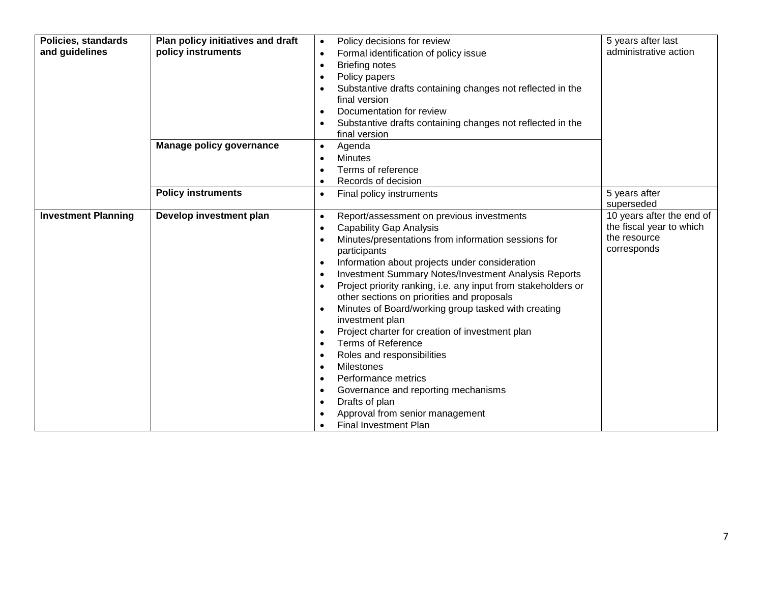| <b>Policies, standards</b><br>and guidelines | Plan policy initiatives and draft<br>policy instruments | Policy decisions for review<br>$\bullet$<br>Formal identification of policy issue<br>$\bullet$<br><b>Briefing notes</b><br>$\bullet$<br>Policy papers<br>$\bullet$<br>Substantive drafts containing changes not reflected in the<br>$\bullet$<br>final version<br>Documentation for review<br>Substantive drafts containing changes not reflected in the<br>final version                                                                                                                                                                                                                                                                                                                                                                                                                                                                                                                                                                | 5 years after last<br>administrative action                                          |
|----------------------------------------------|---------------------------------------------------------|------------------------------------------------------------------------------------------------------------------------------------------------------------------------------------------------------------------------------------------------------------------------------------------------------------------------------------------------------------------------------------------------------------------------------------------------------------------------------------------------------------------------------------------------------------------------------------------------------------------------------------------------------------------------------------------------------------------------------------------------------------------------------------------------------------------------------------------------------------------------------------------------------------------------------------------|--------------------------------------------------------------------------------------|
|                                              | <b>Manage policy governance</b>                         | Agenda<br>$\bullet$<br><b>Minutes</b><br>$\bullet$<br>Terms of reference<br>$\bullet$<br>Records of decision<br>$\bullet$                                                                                                                                                                                                                                                                                                                                                                                                                                                                                                                                                                                                                                                                                                                                                                                                                |                                                                                      |
|                                              | <b>Policy instruments</b>                               | Final policy instruments<br>$\bullet$                                                                                                                                                                                                                                                                                                                                                                                                                                                                                                                                                                                                                                                                                                                                                                                                                                                                                                    | 5 years after<br>superseded                                                          |
| <b>Investment Planning</b>                   | Develop investment plan                                 | Report/assessment on previous investments<br>$\bullet$<br><b>Capability Gap Analysis</b><br>$\bullet$<br>Minutes/presentations from information sessions for<br>participants<br>Information about projects under consideration<br>$\bullet$<br><b>Investment Summary Notes/Investment Analysis Reports</b><br>$\bullet$<br>Project priority ranking, i.e. any input from stakeholders or<br>$\bullet$<br>other sections on priorities and proposals<br>Minutes of Board/working group tasked with creating<br>$\bullet$<br>investment plan<br>Project charter for creation of investment plan<br>$\bullet$<br><b>Terms of Reference</b><br>$\bullet$<br>Roles and responsibilities<br>$\bullet$<br><b>Milestones</b><br>$\bullet$<br>Performance metrics<br>$\bullet$<br>Governance and reporting mechanisms<br>$\bullet$<br>Drafts of plan<br>$\bullet$<br>Approval from senior management<br><b>Final Investment Plan</b><br>$\bullet$ | 10 years after the end of<br>the fiscal year to which<br>the resource<br>corresponds |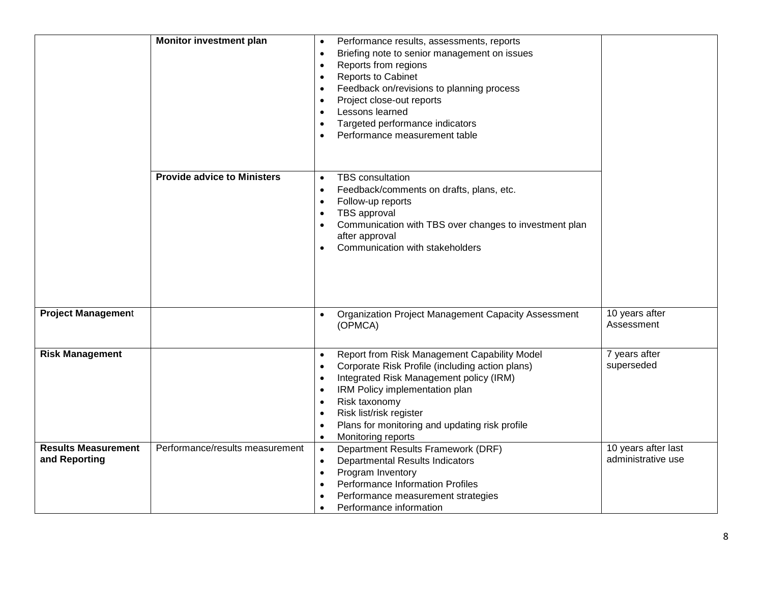|                                             | <b>Monitor investment plan</b>     | Performance results, assessments, reports<br>$\bullet$<br>Briefing note to senior management on issues<br>$\bullet$<br>Reports from regions<br>$\bullet$<br>Reports to Cabinet<br>$\bullet$<br>Feedback on/revisions to planning process<br>$\bullet$<br>Project close-out reports<br>$\bullet$<br>Lessons learned<br>$\bullet$<br>Targeted performance indicators<br>$\bullet$<br>Performance measurement table<br>$\bullet$ |                                           |
|---------------------------------------------|------------------------------------|-------------------------------------------------------------------------------------------------------------------------------------------------------------------------------------------------------------------------------------------------------------------------------------------------------------------------------------------------------------------------------------------------------------------------------|-------------------------------------------|
|                                             | <b>Provide advice to Ministers</b> | <b>TBS</b> consultation<br>$\bullet$<br>Feedback/comments on drafts, plans, etc.<br>$\bullet$<br>Follow-up reports<br>$\bullet$<br>TBS approval<br>$\bullet$<br>Communication with TBS over changes to investment plan<br>$\bullet$<br>after approval<br>Communication with stakeholders<br>$\bullet$                                                                                                                         |                                           |
| <b>Project Management</b>                   |                                    | <b>Organization Project Management Capacity Assessment</b><br>(OPMCA)                                                                                                                                                                                                                                                                                                                                                         | 10 years after<br>Assessment              |
| <b>Risk Management</b>                      |                                    | Report from Risk Management Capability Model<br>$\bullet$<br>Corporate Risk Profile (including action plans)<br>$\bullet$<br>Integrated Risk Management policy (IRM)<br>$\bullet$<br>IRM Policy implementation plan<br>$\bullet$<br>Risk taxonomy<br>$\bullet$<br>Risk list/risk register<br>$\bullet$<br>Plans for monitoring and updating risk profile<br>$\bullet$<br>Monitoring reports<br>$\bullet$                      | 7 years after<br>superseded               |
| <b>Results Measurement</b><br>and Reporting | Performance/results measurement    | Department Results Framework (DRF)<br>$\bullet$<br>Departmental Results Indicators<br>$\bullet$<br>Program Inventory<br>$\bullet$<br>Performance Information Profiles<br>$\bullet$<br>Performance measurement strategies<br>$\bullet$<br>Performance information<br>$\bullet$                                                                                                                                                 | 10 years after last<br>administrative use |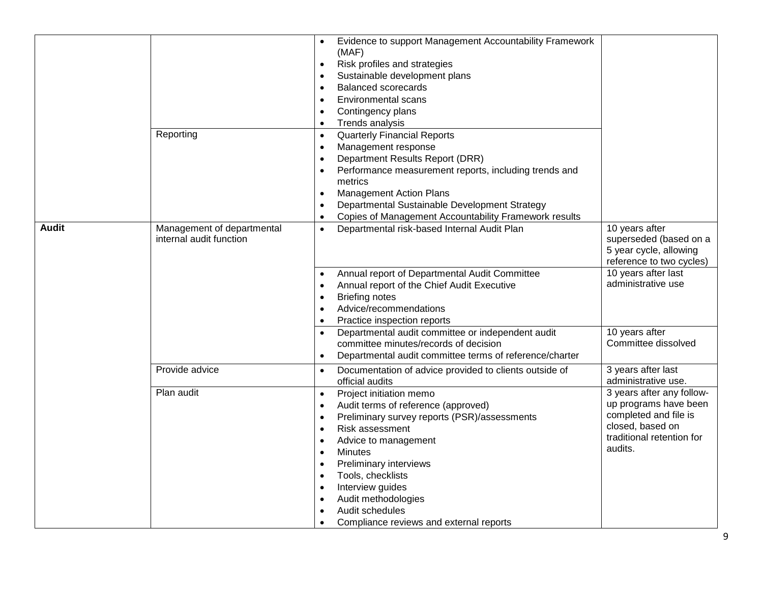|              |                            | Evidence to support Management Accountability Framework              |                           |
|--------------|----------------------------|----------------------------------------------------------------------|---------------------------|
|              |                            | (MAF)                                                                |                           |
|              |                            | Risk profiles and strategies<br>$\bullet$                            |                           |
|              |                            | Sustainable development plans<br>$\bullet$                           |                           |
|              |                            | Balanced scorecards<br>$\bullet$                                     |                           |
|              |                            | <b>Environmental scans</b><br>$\bullet$                              |                           |
|              |                            | Contingency plans<br>$\bullet$                                       |                           |
|              |                            | Trends analysis<br>$\bullet$                                         |                           |
|              | Reporting                  | <b>Quarterly Financial Reports</b><br>$\bullet$                      |                           |
|              |                            | Management response<br>$\bullet$                                     |                           |
|              |                            | Department Results Report (DRR)                                      |                           |
|              |                            | Performance measurement reports, including trends and<br>$\bullet$   |                           |
|              |                            | metrics                                                              |                           |
|              |                            | <b>Management Action Plans</b><br>$\bullet$                          |                           |
|              |                            | Departmental Sustainable Development Strategy                        |                           |
|              |                            | Copies of Management Accountability Framework results<br>$\bullet$   |                           |
| <b>Audit</b> | Management of departmental | Departmental risk-based Internal Audit Plan<br>$\bullet$             | 10 years after            |
|              | internal audit function    |                                                                      | superseded (based on a    |
|              |                            |                                                                      | 5 year cycle, allowing    |
|              |                            |                                                                      | reference to two cycles)  |
|              |                            | Annual report of Departmental Audit Committee<br>$\bullet$           | 10 years after last       |
|              |                            | Annual report of the Chief Audit Executive<br>$\bullet$              | administrative use        |
|              |                            | <b>Briefing notes</b><br>$\bullet$                                   |                           |
|              |                            | Advice/recommendations<br>$\bullet$                                  |                           |
|              |                            | Practice inspection reports<br>$\bullet$                             |                           |
|              |                            | Departmental audit committee or independent audit                    | 10 years after            |
|              |                            | committee minutes/records of decision                                | Committee dissolved       |
|              |                            | Departmental audit committee terms of reference/charter<br>$\bullet$ |                           |
|              | Provide advice             | Documentation of advice provided to clients outside of<br>$\bullet$  | 3 years after last        |
|              |                            | official audits                                                      | administrative use.       |
|              | Plan audit                 | Project initiation memo<br>$\bullet$                                 | 3 years after any follow- |
|              |                            | Audit terms of reference (approved)<br>$\bullet$                     | up programs have been     |
|              |                            | Preliminary survey reports (PSR)/assessments<br>$\bullet$            | completed and file is     |
|              |                            | Risk assessment<br>$\bullet$                                         | closed, based on          |
|              |                            | Advice to management<br>$\bullet$                                    | traditional retention for |
|              |                            | <b>Minutes</b><br>$\bullet$                                          | audits.                   |
|              |                            | Preliminary interviews<br>$\bullet$                                  |                           |
|              |                            | Tools, checklists<br>$\bullet$                                       |                           |
|              |                            | Interview guides<br>$\bullet$                                        |                           |
|              |                            | Audit methodologies<br>$\bullet$                                     |                           |
|              |                            | Audit schedules<br>$\bullet$                                         |                           |
|              |                            | Compliance reviews and external reports<br>$\bullet$                 |                           |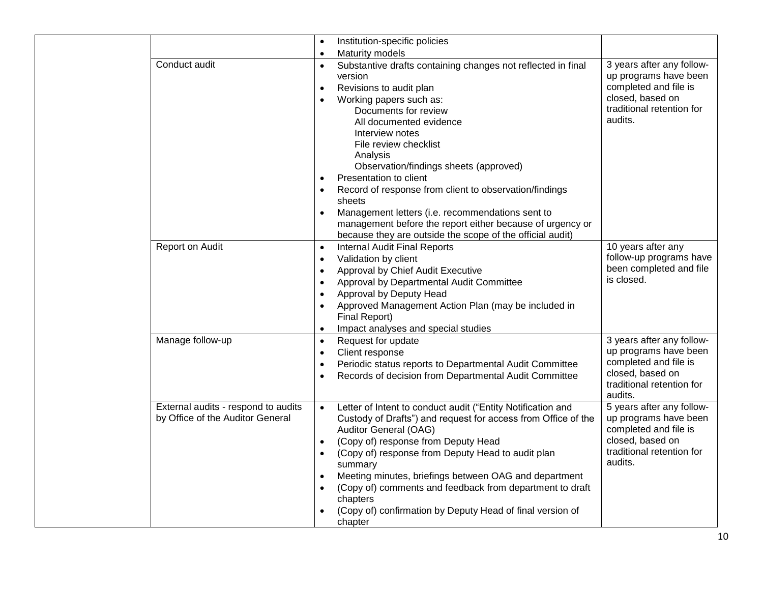|                                                                         | $\bullet$              | Institution-specific policies                                                                                                                                              |                                                                                                 |
|-------------------------------------------------------------------------|------------------------|----------------------------------------------------------------------------------------------------------------------------------------------------------------------------|-------------------------------------------------------------------------------------------------|
|                                                                         | $\bullet$              | Maturity models                                                                                                                                                            |                                                                                                 |
| Conduct audit                                                           | $\bullet$              | Substantive drafts containing changes not reflected in final<br>version<br>Revisions to audit plan                                                                         | 3 years after any follow-<br>up programs have been<br>completed and file is<br>closed, based on |
|                                                                         |                        | Working papers such as:<br>Documents for review<br>All documented evidence<br>Interview notes<br>File review checklist                                                     | traditional retention for<br>audits.                                                            |
|                                                                         |                        | Analysis<br>Observation/findings sheets (approved)<br>Presentation to client                                                                                               |                                                                                                 |
|                                                                         | $\bullet$              | Record of response from client to observation/findings<br>sheets                                                                                                           |                                                                                                 |
|                                                                         | $\bullet$              | Management letters (i.e. recommendations sent to<br>management before the report either because of urgency or<br>because they are outside the scope of the official audit) |                                                                                                 |
| Report on Audit                                                         | $\bullet$<br>$\bullet$ | <b>Internal Audit Final Reports</b><br>Validation by client                                                                                                                | 10 years after any<br>follow-up programs have                                                   |
|                                                                         |                        |                                                                                                                                                                            | been completed and file                                                                         |
|                                                                         | $\bullet$              | Approval by Chief Audit Executive                                                                                                                                          | is closed.                                                                                      |
|                                                                         | $\bullet$              | Approval by Departmental Audit Committee                                                                                                                                   |                                                                                                 |
|                                                                         | $\bullet$              | Approval by Deputy Head                                                                                                                                                    |                                                                                                 |
|                                                                         |                        | Approved Management Action Plan (may be included in<br>Final Report)                                                                                                       |                                                                                                 |
|                                                                         |                        | Impact analyses and special studies                                                                                                                                        |                                                                                                 |
| Manage follow-up                                                        | $\bullet$              | Request for update                                                                                                                                                         | 3 years after any follow-                                                                       |
|                                                                         | $\bullet$              | Client response                                                                                                                                                            | up programs have been                                                                           |
|                                                                         | $\bullet$              | Periodic status reports to Departmental Audit Committee                                                                                                                    | completed and file is                                                                           |
|                                                                         |                        | Records of decision from Departmental Audit Committee                                                                                                                      | closed, based on<br>traditional retention for<br>audits.                                        |
| External audits - respond to audits<br>by Office of the Auditor General | $\bullet$              | Letter of Intent to conduct audit ("Entity Notification and<br>Custody of Drafts") and request for access from Office of the<br>Auditor General (OAG)                      | 5 years after any follow-<br>up programs have been<br>completed and file is                     |
|                                                                         | $\bullet$<br>$\bullet$ | (Copy of) response from Deputy Head<br>(Copy of) response from Deputy Head to audit plan<br>summary                                                                        | closed, based on<br>traditional retention for<br>audits.                                        |
|                                                                         |                        | Meeting minutes, briefings between OAG and department                                                                                                                      |                                                                                                 |
|                                                                         |                        | (Copy of) comments and feedback from department to draft<br>chapters                                                                                                       |                                                                                                 |
|                                                                         |                        | (Copy of) confirmation by Deputy Head of final version of<br>chapter                                                                                                       |                                                                                                 |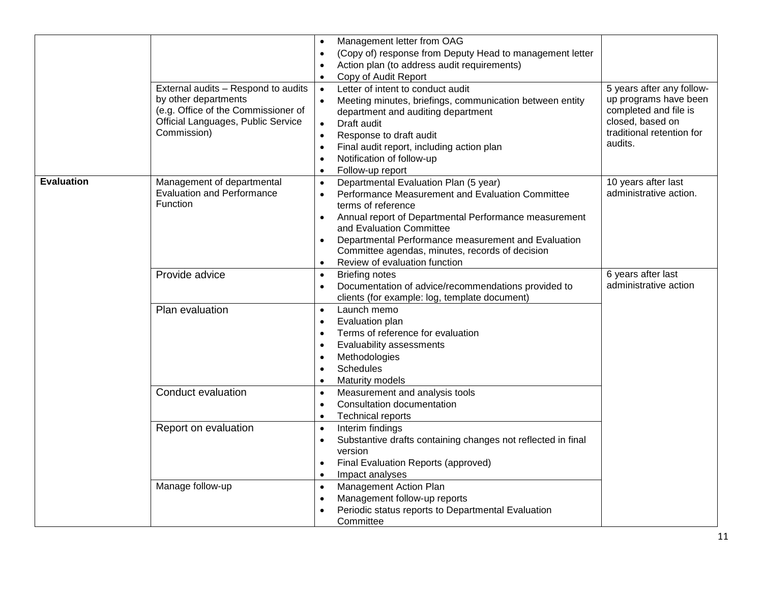|                   | External audits - Respond to audits<br>by other departments<br>(e.g. Office of the Commissioner of<br>Official Languages, Public Service<br>Commission) | Management letter from OAG<br>$\bullet$<br>(Copy of) response from Deputy Head to management letter<br>Action plan (to address audit requirements)<br>$\bullet$<br>Copy of Audit Report<br>$\bullet$<br>Letter of intent to conduct audit<br>$\bullet$<br>Meeting minutes, briefings, communication between entity<br>department and auditing department<br>Draft audit<br>Response to draft audit<br>$\bullet$<br>Final audit report, including action plan<br>$\bullet$<br>Notification of follow-up<br>$\bullet$<br>Follow-up report<br>$\bullet$ | 5 years after any follow-<br>up programs have been<br>completed and file is<br>closed, based on<br>traditional retention for<br>audits. |
|-------------------|---------------------------------------------------------------------------------------------------------------------------------------------------------|------------------------------------------------------------------------------------------------------------------------------------------------------------------------------------------------------------------------------------------------------------------------------------------------------------------------------------------------------------------------------------------------------------------------------------------------------------------------------------------------------------------------------------------------------|-----------------------------------------------------------------------------------------------------------------------------------------|
| <b>Evaluation</b> | Management of departmental<br><b>Evaluation and Performance</b><br>Function<br>Provide advice                                                           | Departmental Evaluation Plan (5 year)<br>$\bullet$<br>Performance Measurement and Evaluation Committee<br>terms of reference<br>Annual report of Departmental Performance measurement<br>$\bullet$<br>and Evaluation Committee<br>Departmental Performance measurement and Evaluation<br>$\bullet$<br>Committee agendas, minutes, records of decision<br>Review of evaluation function<br><b>Briefing notes</b><br>$\bullet$                                                                                                                         | 10 years after last<br>administrative action.<br>6 years after last                                                                     |
|                   | Plan evaluation                                                                                                                                         | Documentation of advice/recommendations provided to<br>$\bullet$<br>clients (for example: log, template document)<br>Launch memo<br>$\bullet$<br>Evaluation plan<br>$\bullet$<br>Terms of reference for evaluation<br>$\bullet$<br>Evaluability assessments<br>$\bullet$<br>Methodologies<br>٠<br>Schedules<br>$\bullet$<br>Maturity models<br>$\bullet$                                                                                                                                                                                             | administrative action                                                                                                                   |
|                   | Conduct evaluation<br>Report on evaluation                                                                                                              | Measurement and analysis tools<br>$\bullet$<br><b>Consultation documentation</b><br>$\bullet$<br>Technical reports<br>$\bullet$<br>Interim findings<br>$\bullet$<br>Substantive drafts containing changes not reflected in final<br>$\bullet$<br>version<br>Final Evaluation Reports (approved)<br>$\bullet$                                                                                                                                                                                                                                         |                                                                                                                                         |
|                   | Manage follow-up                                                                                                                                        | Impact analyses<br>$\bullet$<br>Management Action Plan<br>$\bullet$<br>Management follow-up reports<br>$\bullet$<br>Periodic status reports to Departmental Evaluation<br>Committee                                                                                                                                                                                                                                                                                                                                                                  |                                                                                                                                         |